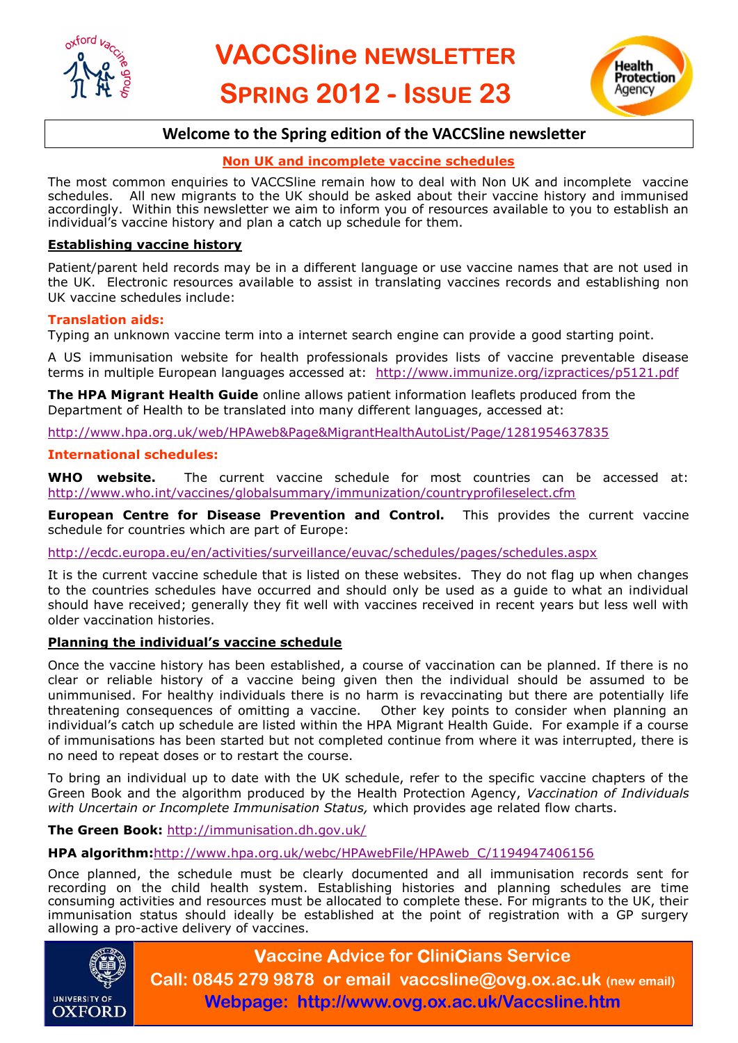<span id="page-0-0"></span>



# **Welcome to the Spring edition of the VACCSline newsletter**

## **Non UK and incomplete vaccine schedules**

The most common enquiries to VACCSline remain how to deal with Non UK and incomplete vaccine schedules. All new migrants to the UK should be asked about their vaccine history and immunised accordingly. Within this newsletter we aim to inform you of resources available to you to establish an individual's vaccine history and plan a catch up schedule for them.

#### **Establishing vaccine history**

Patient/parent held records may be in a different language or use vaccine names that are not used in the UK. Electronic resources available to assist in translating vaccines records and establishing non UK vaccine schedules include:

#### **Translation aids:**

Typing an unknown vaccine term into a internet search engine can provide a good starting point.

A US immunisation website for health professionals provides lists of vaccine preventable disease terms in multiple European languages accessed at: [http://www.immunize.org/izpractices/p5121.pdf](#page-0-0)

**The HPA Migrant Health Guide** online allows patient information leaflets produced from the Department of Health to be translated into many different languages, accessed at:

<http://www.hpa.org.uk/web/HPAweb&Page&MigrantHealthAutoList/Page/1281954637835>

#### **International schedules:**

**WHO website.** The current vaccine schedule for most countries can be accessed at: [http://www.who.int/vaccines/globalsummary/immunization/countryprofileselect.cfm](#page-0-0) 

**European Centre for Disease Prevention and Control.** This provides the current vaccine schedule for countries which are part of Europe:

<http://ecdc.europa.eu/en/activities/surveillance/euvac/schedules/pages/schedules.aspx>

It is the current vaccine schedule that is listed on these websites. They do not flag up when changes to the countries schedules have occurred and should only be used as a guide to what an individual should have received; generally they fit well with vaccines received in recent years but less well with older vaccination histories.

#### **Planning the individual's vaccine schedule**

Once the vaccine history has been established, a course of vaccination can be planned. If there is no clear or reliable history of a vaccine being given then the individual should be assumed to be unimmunised. For healthy individuals there is no harm is revaccinating but there are potentially life threatening consequences of omitting a vaccine. Other key points to consider when planning an individual's catch up schedule are listed within the HPA Migrant Health Guide. For example if a course of immunisations has been started but not completed continue from where it was interrupted, there is no need to repeat doses or to restart the course.

To bring an individual up to date with the UK schedule, refer to the specific vaccine chapters of the Green Book and the algorithm produced by the Health Protection Agency, *Vaccination of Individuals with Uncertain or Incomplete Immunisation Status,* which provides age related flow charts.

**The Green Book:** <http://immunisation.dh.gov.uk/>

**HPA algorithm:**[http://www.hpa.org.uk/webc/HPAwebFile/HPAweb\\_C/1194947406156](#page-0-0) 

Once planned, the schedule must be clearly documented and all immunisation records sent for recording on the child health system. Establishing histories and planning schedules are time consuming activities and resources must be allocated to complete these. For migrants to the UK, their immunisation status should ideally be established at the point of registration with a GP surgery allowing a pro-active delivery of vaccines.



**Vaccine Advice for CliniCians Service Call: 0845 279 9878 or email vaccsline@ovg.ox.ac.uk (new email) Webpage: http://www.ovg.ox.ac.uk/Vaccsline.htm**